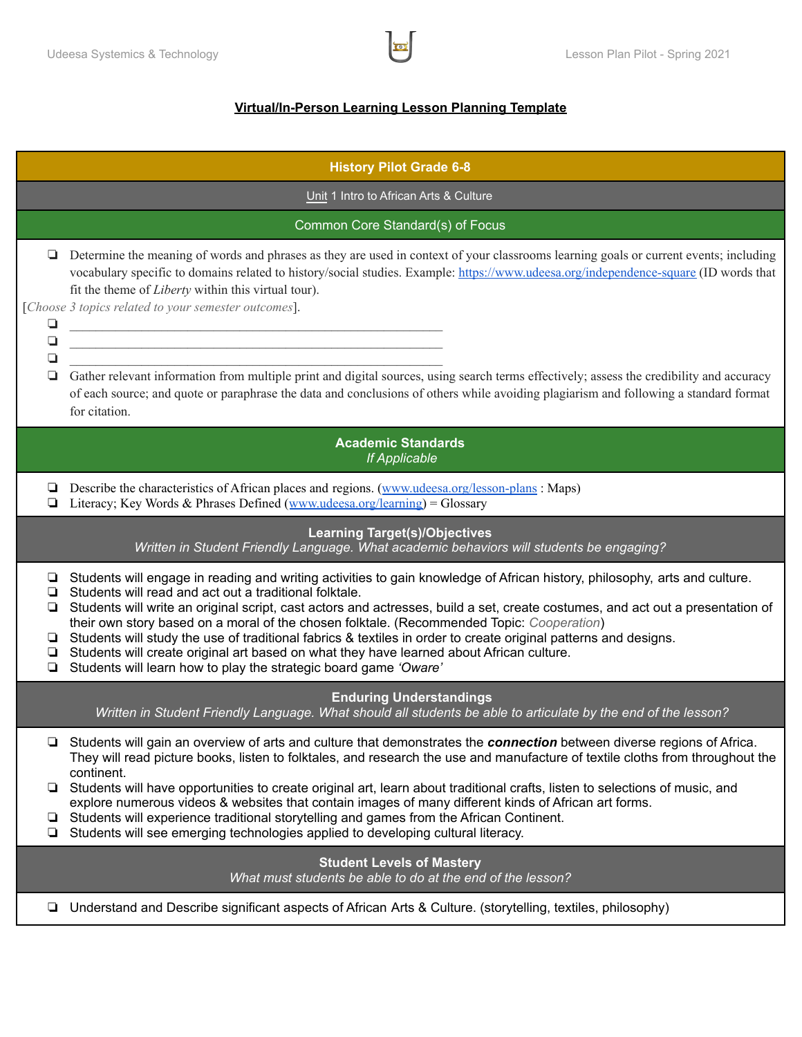## **Virtual/In-Person Learning Lesson Planning Template**

| <b>History Pilot Grade 6-8</b>                    |                                                                                                                                                                                                                                                                                                                                                                                                                                                                                                                                                                                                                                                                                                                                        |  |  |  |  |  |
|---------------------------------------------------|----------------------------------------------------------------------------------------------------------------------------------------------------------------------------------------------------------------------------------------------------------------------------------------------------------------------------------------------------------------------------------------------------------------------------------------------------------------------------------------------------------------------------------------------------------------------------------------------------------------------------------------------------------------------------------------------------------------------------------------|--|--|--|--|--|
| Unit 1 Intro to African Arts & Culture            |                                                                                                                                                                                                                                                                                                                                                                                                                                                                                                                                                                                                                                                                                                                                        |  |  |  |  |  |
| Common Core Standard(s) of Focus                  |                                                                                                                                                                                                                                                                                                                                                                                                                                                                                                                                                                                                                                                                                                                                        |  |  |  |  |  |
| ❏<br>$\Box$<br>$\Box$<br>❏                        | Determine the meaning of words and phrases as they are used in context of your classrooms learning goals or current events; including<br>vocabulary specific to domains related to history/social studies. Example: https://www.udeesa.org/independence-square (ID words that<br>fit the theme of Liberty within this virtual tour).<br>[Choose 3 topics related to your semester outcomes].<br><u> 1989 - Johann John Stein, mars an deutscher Stein und der Stein und der Stein und der Stein und der Stein und</u><br><u> 1989 - Johann John Stein, mars an deus Frankrik (f. 1989)</u><br>Gather relevant information from multiple print and digital sources, using search terms effectively; assess the credibility and accuracy |  |  |  |  |  |
|                                                   | of each source; and quote or paraphrase the data and conclusions of others while avoiding plagiarism and following a standard format<br>for citation.                                                                                                                                                                                                                                                                                                                                                                                                                                                                                                                                                                                  |  |  |  |  |  |
| <b>Academic Standards</b><br><b>If Applicable</b> |                                                                                                                                                                                                                                                                                                                                                                                                                                                                                                                                                                                                                                                                                                                                        |  |  |  |  |  |
| ⊔<br>❏                                            | Describe the characteristics of African places and regions. (www.udeesa.org/lesson-plans: Maps)<br>Literacy; Key Words & Phrases Defined (www.udeesa.org/learning) = Glossary                                                                                                                                                                                                                                                                                                                                                                                                                                                                                                                                                          |  |  |  |  |  |
|                                                   | <b>Learning Target(s)/Objectives</b><br>Written in Student Friendly Language. What academic behaviors will students be engaging?                                                                                                                                                                                                                                                                                                                                                                                                                                                                                                                                                                                                       |  |  |  |  |  |
| ❏<br>❏<br>▫<br>▫<br>❏                             | Students will engage in reading and writing activities to gain knowledge of African history, philosophy, arts and culture.<br>Students will read and act out a traditional folktale.<br>Students will write an original script, cast actors and actresses, build a set, create costumes, and act out a presentation of<br>their own story based on a moral of the chosen folktale. (Recommended Topic: Cooperation)<br>Students will study the use of traditional fabrics & textiles in order to create original patterns and designs.<br>Students will create original art based on what they have learned about African culture.<br>Students will learn how to play the strategic board game 'Oware'                                 |  |  |  |  |  |
|                                                   | <b>Enduring Understandings</b><br>Written in Student Friendly Language. What should all students be able to articulate by the end of the lesson?                                                                                                                                                                                                                                                                                                                                                                                                                                                                                                                                                                                       |  |  |  |  |  |
|                                                   | □ Students will gain an overview of arts and culture that demonstrates the connection between diverse regions of Africa.<br>They will read picture books, listen to folktales, and research the use and manufacture of textile cloths from throughout the<br>continent.                                                                                                                                                                                                                                                                                                                                                                                                                                                                |  |  |  |  |  |
| ❏.<br>┕                                           | Students will have opportunities to create original art, learn about traditional crafts, listen to selections of music, and<br>explore numerous videos & websites that contain images of many different kinds of African art forms.<br>Students will experience traditional storytelling and games from the African Continent.<br>Students will see emerging technologies applied to developing cultural literacy.                                                                                                                                                                                                                                                                                                                     |  |  |  |  |  |
|                                                   | <b>Student Levels of Mastery</b><br>What must students be able to do at the end of the lesson?                                                                                                                                                                                                                                                                                                                                                                                                                                                                                                                                                                                                                                         |  |  |  |  |  |
| ❏                                                 | Understand and Describe significant aspects of African Arts & Culture. (storytelling, textiles, philosophy)                                                                                                                                                                                                                                                                                                                                                                                                                                                                                                                                                                                                                            |  |  |  |  |  |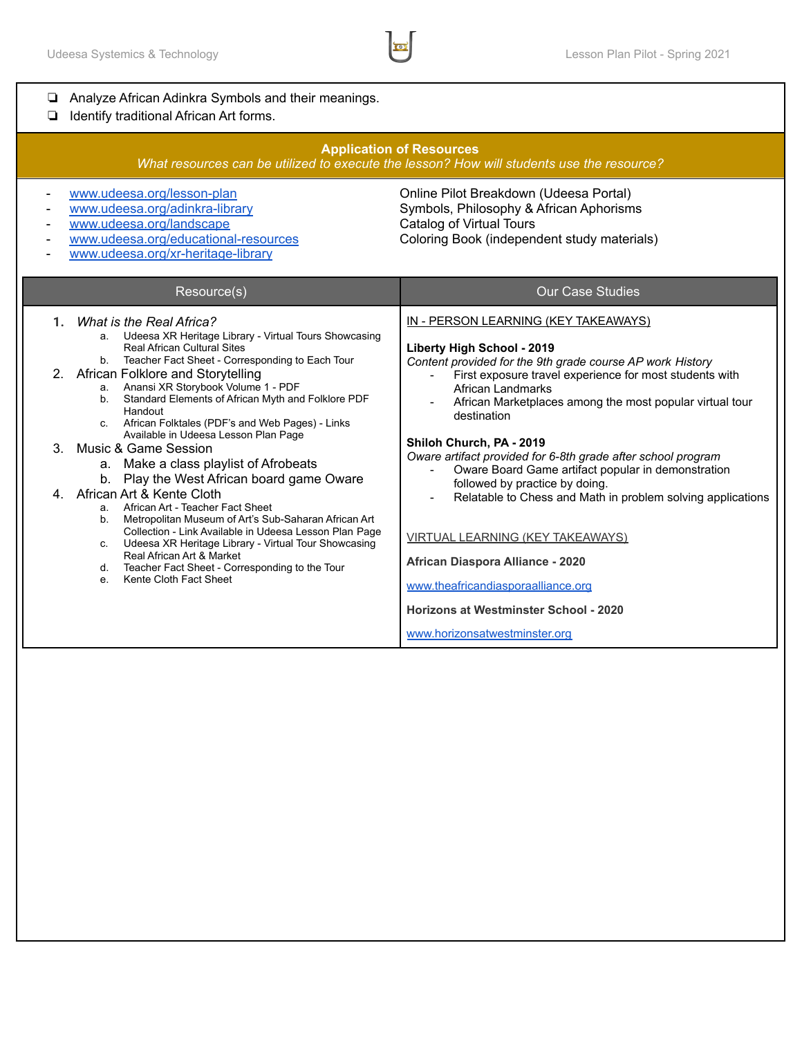| Analyze African Adinkra Symbols and their meanings.<br>Identify traditional African Art forms.<br>❏                                                                                                                                                                                                                                                                                                                                                                                                                                                                                                                                                                                                                                                                                                                                                                                                                                          |                                                                                                                                                                                                                                                                                                                                                                                                                                                                                                                                                                                                                                                                                                                                              |  |  |  |  |  |
|----------------------------------------------------------------------------------------------------------------------------------------------------------------------------------------------------------------------------------------------------------------------------------------------------------------------------------------------------------------------------------------------------------------------------------------------------------------------------------------------------------------------------------------------------------------------------------------------------------------------------------------------------------------------------------------------------------------------------------------------------------------------------------------------------------------------------------------------------------------------------------------------------------------------------------------------|----------------------------------------------------------------------------------------------------------------------------------------------------------------------------------------------------------------------------------------------------------------------------------------------------------------------------------------------------------------------------------------------------------------------------------------------------------------------------------------------------------------------------------------------------------------------------------------------------------------------------------------------------------------------------------------------------------------------------------------------|--|--|--|--|--|
| <b>Application of Resources</b><br>What resources can be utilized to execute the lesson? How will students use the resource?                                                                                                                                                                                                                                                                                                                                                                                                                                                                                                                                                                                                                                                                                                                                                                                                                 |                                                                                                                                                                                                                                                                                                                                                                                                                                                                                                                                                                                                                                                                                                                                              |  |  |  |  |  |
| www.udeesa.org/lesson-plan<br>Online Pilot Breakdown (Udeesa Portal)<br>www.udeesa.org/adinkra-library<br>Symbols, Philosophy & African Aphorisms<br><b>Catalog of Virtual Tours</b><br>www.udeesa.org/landscape<br>www.udeesa.org/educational-resources<br>Coloring Book (independent study materials)<br>www.udeesa.org/xr-heritage-library                                                                                                                                                                                                                                                                                                                                                                                                                                                                                                                                                                                                |                                                                                                                                                                                                                                                                                                                                                                                                                                                                                                                                                                                                                                                                                                                                              |  |  |  |  |  |
| Resource(s)                                                                                                                                                                                                                                                                                                                                                                                                                                                                                                                                                                                                                                                                                                                                                                                                                                                                                                                                  | <b>Our Case Studies</b>                                                                                                                                                                                                                                                                                                                                                                                                                                                                                                                                                                                                                                                                                                                      |  |  |  |  |  |
| What is the Real Africa?<br>1.<br>a. Udeesa XR Heritage Library - Virtual Tours Showcasing<br><b>Real African Cultural Sites</b><br>b. Teacher Fact Sheet - Corresponding to Each Tour<br>African Folklore and Storytelling<br>2.<br>a. Anansi XR Storybook Volume 1 - PDF<br>b. Standard Elements of African Myth and Folklore PDF<br>Handout<br>c. African Folktales (PDF's and Web Pages) - Links<br>Available in Udeesa Lesson Plan Page<br>Music & Game Session<br>3.<br>a. Make a class playlist of Afrobeats<br>b. Play the West African board game Oware<br>African Art & Kente Cloth<br>4.<br>a. African Art - Teacher Fact Sheet<br>b. Metropolitan Museum of Art's Sub-Saharan African Art<br>Collection - Link Available in Udeesa Lesson Plan Page<br>c. Udeesa XR Heritage Library - Virtual Tour Showcasing<br>Real African Art & Market<br>Teacher Fact Sheet - Corresponding to the Tour<br>d.<br>e. Kente Cloth Fact Sheet | IN - PERSON LEARNING (KEY TAKEAWAYS)<br>Liberty High School - 2019<br>Content provided for the 9th grade course AP work History<br>First exposure travel experience for most students with<br>African Landmarks<br>African Marketplaces among the most popular virtual tour<br>destination<br>Shiloh Church, PA - 2019<br>Oware artifact provided for 6-8th grade after school program<br>Oware Board Game artifact popular in demonstration<br>followed by practice by doing.<br>Relatable to Chess and Math in problem solving applications<br><b>VIRTUAL LEARNING (KEY TAKEAWAYS)</b><br>African Diaspora Alliance - 2020<br>www.theafricandiasporaalliance.org<br>Horizons at Westminster School - 2020<br>www.horizonsatwestminster.org |  |  |  |  |  |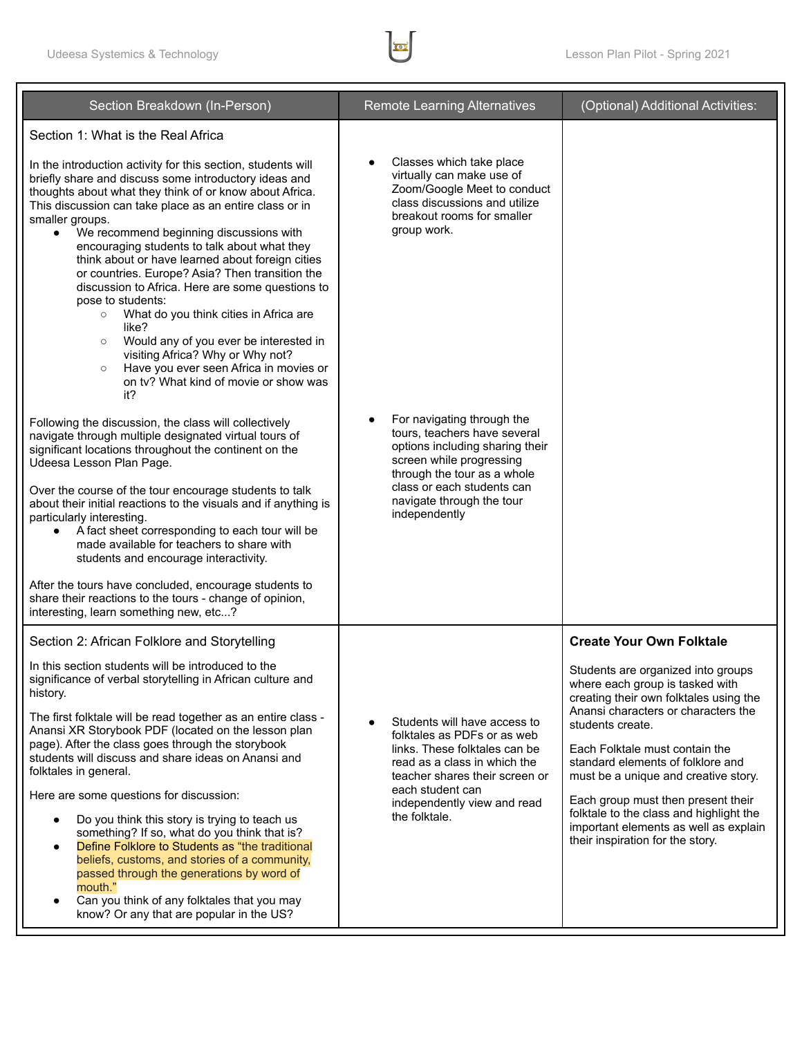

| Section Breakdown (In-Person)                                                                                                                                                                                                                                                                                                                                                                                                                                                                                                                                                                                                                                                                                                                                                                                          | <b>Remote Learning Alternatives</b>                                                                                                                                                                                                             | (Optional) Additional Activities:                                                                                                                                                                                                                                                                                                                                                                                                                       |
|------------------------------------------------------------------------------------------------------------------------------------------------------------------------------------------------------------------------------------------------------------------------------------------------------------------------------------------------------------------------------------------------------------------------------------------------------------------------------------------------------------------------------------------------------------------------------------------------------------------------------------------------------------------------------------------------------------------------------------------------------------------------------------------------------------------------|-------------------------------------------------------------------------------------------------------------------------------------------------------------------------------------------------------------------------------------------------|---------------------------------------------------------------------------------------------------------------------------------------------------------------------------------------------------------------------------------------------------------------------------------------------------------------------------------------------------------------------------------------------------------------------------------------------------------|
| Section 1: What is the Real Africa                                                                                                                                                                                                                                                                                                                                                                                                                                                                                                                                                                                                                                                                                                                                                                                     |                                                                                                                                                                                                                                                 |                                                                                                                                                                                                                                                                                                                                                                                                                                                         |
| In the introduction activity for this section, students will<br>briefly share and discuss some introductory ideas and<br>thoughts about what they think of or know about Africa.<br>This discussion can take place as an entire class or in<br>smaller groups.<br>We recommend beginning discussions with<br>$\bullet$<br>encouraging students to talk about what they<br>think about or have learned about foreign cities<br>or countries. Europe? Asia? Then transition the<br>discussion to Africa. Here are some questions to<br>pose to students:<br>What do you think cities in Africa are<br>$\circ$<br>like?<br>Would any of you ever be interested in<br>$\circ$<br>visiting Africa? Why or Why not?<br>Have you ever seen Africa in movies or<br>$\circ$<br>on tv? What kind of movie or show was<br>it?     | Classes which take place<br>virtually can make use of<br>Zoom/Google Meet to conduct<br>class discussions and utilize<br>breakout rooms for smaller<br>group work.                                                                              |                                                                                                                                                                                                                                                                                                                                                                                                                                                         |
| Following the discussion, the class will collectively<br>navigate through multiple designated virtual tours of<br>significant locations throughout the continent on the<br>Udeesa Lesson Plan Page.<br>Over the course of the tour encourage students to talk<br>about their initial reactions to the visuals and if anything is<br>particularly interesting.<br>A fact sheet corresponding to each tour will be<br>$\bullet$<br>made available for teachers to share with<br>students and encourage interactivity.<br>After the tours have concluded, encourage students to<br>share their reactions to the tours - change of opinion,<br>interesting, learn something new, etc?                                                                                                                                      | For navigating through the<br>tours, teachers have several<br>options including sharing their<br>screen while progressing<br>through the tour as a whole<br>class or each students can<br>navigate through the tour<br>independently            |                                                                                                                                                                                                                                                                                                                                                                                                                                                         |
| Section 2: African Folklore and Storytelling                                                                                                                                                                                                                                                                                                                                                                                                                                                                                                                                                                                                                                                                                                                                                                           |                                                                                                                                                                                                                                                 | <b>Create Your Own Folktale</b>                                                                                                                                                                                                                                                                                                                                                                                                                         |
| In this section students will be introduced to the<br>significance of verbal storytelling in African culture and<br>history.<br>The first folktale will be read together as an entire class -<br>Anansi XR Storybook PDF (located on the lesson plan<br>page). After the class goes through the storybook<br>students will discuss and share ideas on Anansi and<br>folktales in general.<br>Here are some questions for discussion:<br>Do you think this story is trying to teach us<br>$\bullet$<br>something? If so, what do you think that is?<br>Define Folklore to Students as "the traditional<br>$\bullet$<br>beliefs, customs, and stories of a community,<br>passed through the generations by word of<br>mouth."<br>Can you think of any folktales that you may<br>know? Or any that are popular in the US? | Students will have access to<br>$\bullet$<br>folktales as PDFs or as web<br>links. These folktales can be<br>read as a class in which the<br>teacher shares their screen or<br>each student can<br>independently view and read<br>the folktale. | Students are organized into groups<br>where each group is tasked with<br>creating their own folktales using the<br>Anansi characters or characters the<br>students create.<br>Each Folktale must contain the<br>standard elements of folklore and<br>must be a unique and creative story.<br>Each group must then present their<br>folktale to the class and highlight the<br>important elements as well as explain<br>their inspiration for the story. |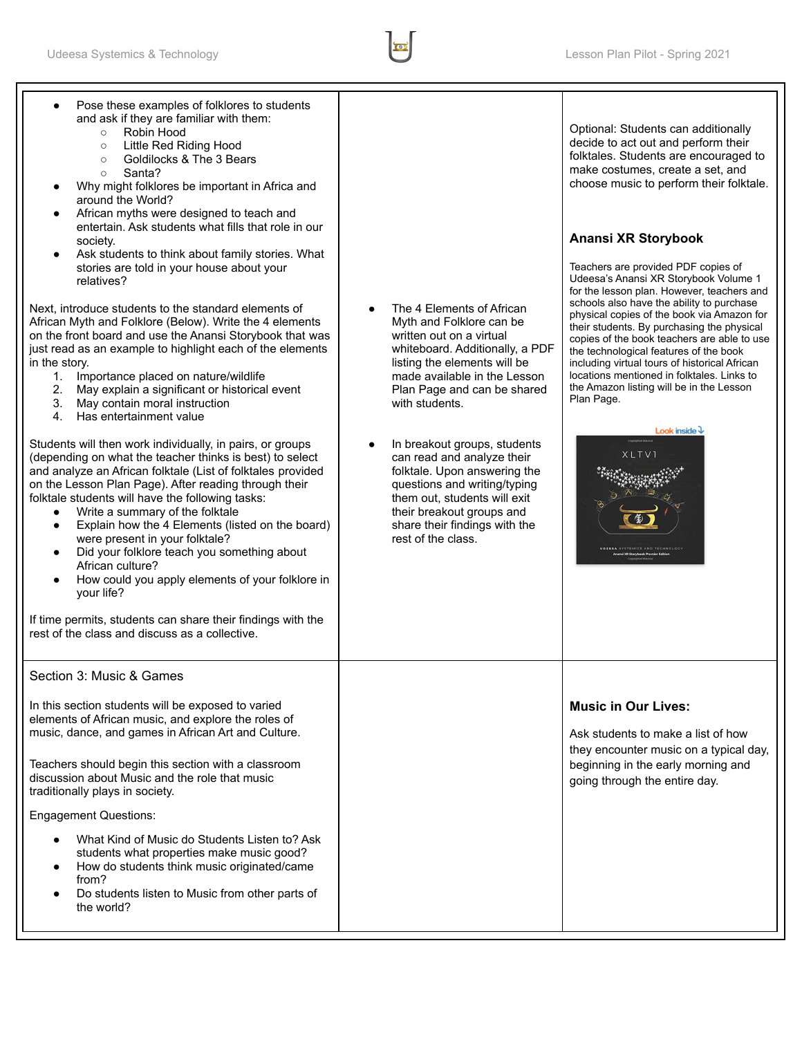

| Pose these examples of folklores to students<br>and ask if they are familiar with them:<br>Robin Hood<br>$\circ$<br>Little Red Riding Hood<br>$\circ$<br>Goldilocks & The 3 Bears<br>$\circ$<br>Santa?<br>$\circ$<br>Why might folklores be important in Africa and<br>around the World?<br>African myths were designed to teach and<br>entertain. Ask students what fills that role in our<br>society.<br>Ask students to think about family stories. What<br>stories are told in your house about your<br>relatives?<br>Next, introduce students to the standard elements of<br>African Myth and Folklore (Below). Write the 4 elements<br>on the front board and use the Anansi Storybook that was<br>just read as an example to highlight each of the elements<br>in the story.<br>1. Importance placed on nature/wildlife<br>2.<br>May explain a significant or historical event<br>3.<br>May contain moral instruction<br>4. Has entertainment value<br>Students will then work individually, in pairs, or groups<br>(depending on what the teacher thinks is best) to select<br>and analyze an African folktale (List of folktales provided<br>on the Lesson Plan Page). After reading through their<br>folktale students will have the following tasks:<br>Write a summary of the folktale<br>$\bullet$<br>Explain how the 4 Elements (listed on the board)<br>$\bullet$<br>were present in your folktale?<br>Did your folklore teach you something about<br>African culture?<br>How could you apply elements of your folklore in<br>$\bullet$<br>your life?<br>If time permits, students can share their findings with the<br>rest of the class and discuss as a collective. | The 4 Elements of African<br>Myth and Folklore can be<br>written out on a virtual<br>whiteboard. Additionally, a PDF<br>listing the elements will be<br>made available in the Lesson<br>Plan Page and can be shared<br>with students.<br>In breakout groups, students<br>$\bullet$<br>can read and analyze their<br>folktale. Upon answering the<br>questions and writing/typing<br>them out, students will exit<br>their breakout groups and<br>share their findings with the<br>rest of the class. | Optional: Students can additionally<br>decide to act out and perform their<br>folktales. Students are encouraged to<br>make costumes, create a set, and<br>choose music to perform their folktale.<br>Anansi XR Storybook<br>Teachers are provided PDF copies of<br>Udeesa's Anansi XR Storybook Volume 1<br>for the lesson plan. However, teachers and<br>schools also have the ability to purchase<br>physical copies of the book via Amazon for<br>their students. By purchasing the physical<br>copies of the book teachers are able to use<br>the technological features of the book<br>including virtual tours of historical African<br>locations mentioned in folktales. Links to<br>the Amazon listing will be in the Lesson<br>Plan Page.<br>Look inside $\lambda$<br><b>XLTV1</b><br><b>DEESA SYSTEMICS AND TECHNO</b> |
|---------------------------------------------------------------------------------------------------------------------------------------------------------------------------------------------------------------------------------------------------------------------------------------------------------------------------------------------------------------------------------------------------------------------------------------------------------------------------------------------------------------------------------------------------------------------------------------------------------------------------------------------------------------------------------------------------------------------------------------------------------------------------------------------------------------------------------------------------------------------------------------------------------------------------------------------------------------------------------------------------------------------------------------------------------------------------------------------------------------------------------------------------------------------------------------------------------------------------------------------------------------------------------------------------------------------------------------------------------------------------------------------------------------------------------------------------------------------------------------------------------------------------------------------------------------------------------------------------------------------------------------------------------------------------------------|------------------------------------------------------------------------------------------------------------------------------------------------------------------------------------------------------------------------------------------------------------------------------------------------------------------------------------------------------------------------------------------------------------------------------------------------------------------------------------------------------|----------------------------------------------------------------------------------------------------------------------------------------------------------------------------------------------------------------------------------------------------------------------------------------------------------------------------------------------------------------------------------------------------------------------------------------------------------------------------------------------------------------------------------------------------------------------------------------------------------------------------------------------------------------------------------------------------------------------------------------------------------------------------------------------------------------------------------|
| Section 3: Music & Games<br>In this section students will be exposed to varied                                                                                                                                                                                                                                                                                                                                                                                                                                                                                                                                                                                                                                                                                                                                                                                                                                                                                                                                                                                                                                                                                                                                                                                                                                                                                                                                                                                                                                                                                                                                                                                                        |                                                                                                                                                                                                                                                                                                                                                                                                                                                                                                      | <b>Music in Our Lives:</b>                                                                                                                                                                                                                                                                                                                                                                                                                                                                                                                                                                                                                                                                                                                                                                                                       |
| elements of African music, and explore the roles of<br>music, dance, and games in African Art and Culture.                                                                                                                                                                                                                                                                                                                                                                                                                                                                                                                                                                                                                                                                                                                                                                                                                                                                                                                                                                                                                                                                                                                                                                                                                                                                                                                                                                                                                                                                                                                                                                            |                                                                                                                                                                                                                                                                                                                                                                                                                                                                                                      | Ask students to make a list of how<br>they encounter music on a typical day,                                                                                                                                                                                                                                                                                                                                                                                                                                                                                                                                                                                                                                                                                                                                                     |
| Teachers should begin this section with a classroom<br>discussion about Music and the role that music<br>traditionally plays in society.                                                                                                                                                                                                                                                                                                                                                                                                                                                                                                                                                                                                                                                                                                                                                                                                                                                                                                                                                                                                                                                                                                                                                                                                                                                                                                                                                                                                                                                                                                                                              |                                                                                                                                                                                                                                                                                                                                                                                                                                                                                                      | beginning in the early morning and<br>going through the entire day.                                                                                                                                                                                                                                                                                                                                                                                                                                                                                                                                                                                                                                                                                                                                                              |
| <b>Engagement Questions:</b>                                                                                                                                                                                                                                                                                                                                                                                                                                                                                                                                                                                                                                                                                                                                                                                                                                                                                                                                                                                                                                                                                                                                                                                                                                                                                                                                                                                                                                                                                                                                                                                                                                                          |                                                                                                                                                                                                                                                                                                                                                                                                                                                                                                      |                                                                                                                                                                                                                                                                                                                                                                                                                                                                                                                                                                                                                                                                                                                                                                                                                                  |
| What Kind of Music do Students Listen to? Ask<br>$\bullet$<br>students what properties make music good?<br>How do students think music originated/came<br>$\bullet$<br>from?<br>Do students listen to Music from other parts of<br>the world?                                                                                                                                                                                                                                                                                                                                                                                                                                                                                                                                                                                                                                                                                                                                                                                                                                                                                                                                                                                                                                                                                                                                                                                                                                                                                                                                                                                                                                         |                                                                                                                                                                                                                                                                                                                                                                                                                                                                                                      |                                                                                                                                                                                                                                                                                                                                                                                                                                                                                                                                                                                                                                                                                                                                                                                                                                  |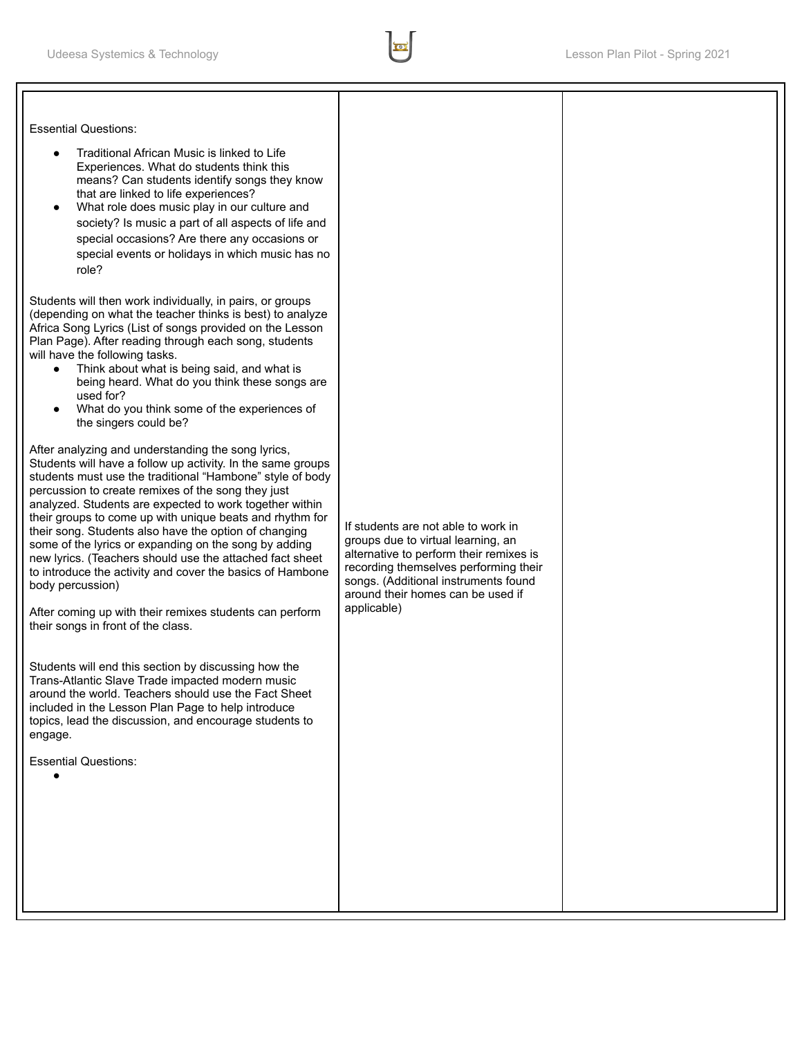Essential Questions:

- Traditional African Music is linked to Life Experiences. What do students think this means? Can students identify songs they know that are linked to life experiences?
- What role does music play in our culture and society? Is music a part of all aspects of life and special occasions? Are there any occasions or special events or holidays in which music has no role?

Students will then work individually, in pairs, or groups (depending on what the teacher thinks is best) to analyze Africa Song Lyrics (List of songs provided on the Lesson Plan Page). After reading through each song, students will have the following tasks.

- Think about what is being said, and what is being heard. What do you think these songs are used for?
- What do you think some of the experiences of the singers could be?

After analyzing and understanding the song lyrics, Students will have a follow up activity. In the same groups students must use the traditional "Hambone" style of body percussion to create remixes of the song they just analyzed. Students are expected to work together within their groups to come up with unique beats and rhythm for their song. Students also have the option of changing some of the lyrics or expanding on the song by adding new lyrics. (Teachers should use the attached fact sheet to introduce the activity and cover the basics of Hambone body percussion)

After coming up with their remixes students can perform their songs in front of the class.

Students will end this section by discussing how the Trans-Atlantic Slave Trade impacted modern music around the world. Teachers should use the Fact Sheet included in the Lesson Plan Page to help introduce topics, lead the discussion, and encourage students to engage.

Essential Questions:

●

If students are not able to work in groups due to virtual learning, an alternative to perform their remixes is recording themselves performing their songs. (Additional instruments found around their homes can be used if applicable)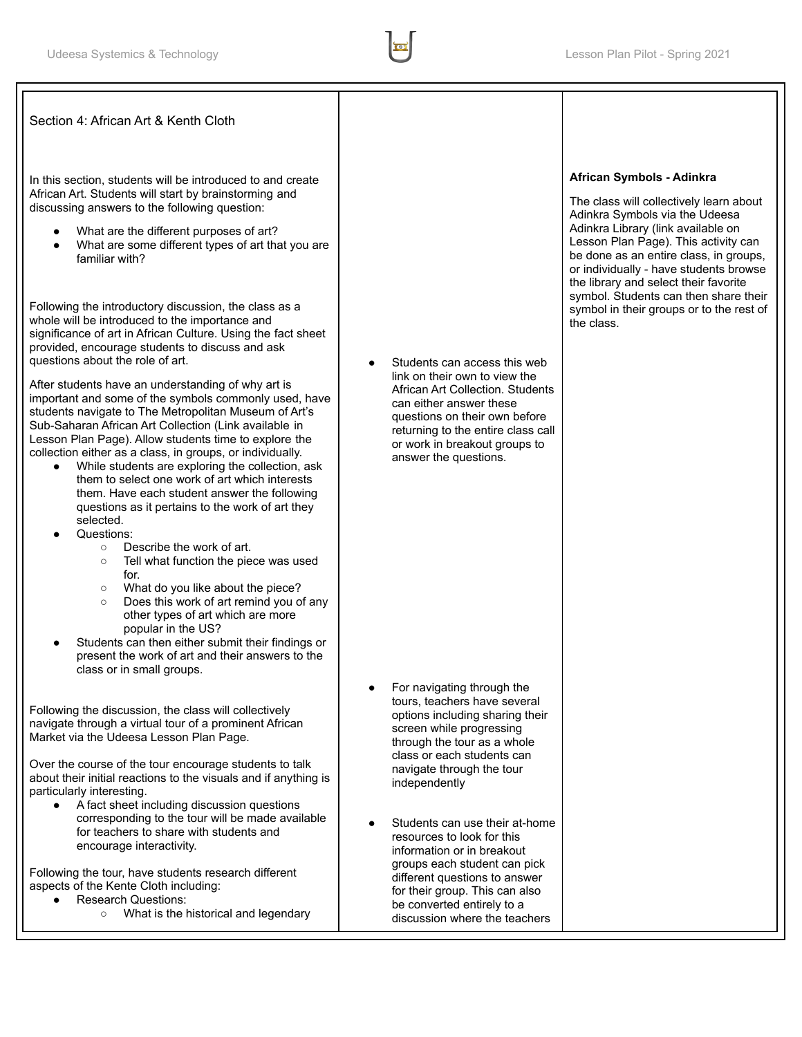Section 4: African Art & Kenth Cloth

In this section, students will be introduced to and create African Art. Students will start by brainstorming and discussing answers to the following question:

- What are the different purposes of art?
- What are some different types of art that you are familiar with?

Following the introductory discussion, the class as a whole will be introduced to the importance and significance of art in African Culture. Using the fact sheet provided, encourage students to discuss and ask questions about the role of art.

After students have an understanding of why art is important and some of the symbols commonly used, have students navigate to The Metropolitan Museum of Art's Sub-Saharan African Art Collection (Link available in Lesson Plan Page). Allow students time to explore the collection either as a class, in groups, or individually.

- While students are exploring the collection, ask them to select one work of art which interests them. Have each student answer the following questions as it pertains to the work of art they selected.
- Questions:
	- Describe the work of art.
	- Tell what function the piece was used for.
	- What do you like about the piece?
	- Does this work of art remind you of any other types of art which are more popular in the US?
- Students can then either submit their findings or present the work of art and their answers to the class or in small groups.

Following the discussion, the class will collectively navigate through a virtual tour of a prominent African Market via the Udeesa Lesson Plan Page.

Over the course of the tour encourage students to talk about their initial reactions to the visuals and if anything is particularly interesting.

A fact sheet including discussion questions corresponding to the tour will be made available for teachers to share with students and encourage interactivity.

Following the tour, have students research different aspects of the Kente Cloth including:

- Research Questions:
	- What is the historical and legendary

Students can access this web link on their own to view the African Art Collection. Students can either answer these questions on their own before returning to the entire class call or work in breakout groups to answer the questions.

- For navigating through the tours, teachers have several options including sharing their screen while progressing through the tour as a whole class or each students can navigate through the tour independently
- Students can use their at-home resources to look for this information or in breakout groups each student can pick different questions to answer for their group. This can also be converted entirely to a discussion where the teachers

## **African Symbols - Adinkra**

The class will collectively learn about Adinkra Symbols via the Udeesa Adinkra Library (link available on Lesson Plan Page). This activity can be done as an entire class, in groups, or individually - have students browse the library and select their favorite symbol. Students can then share their symbol in their groups or to the rest of the class.